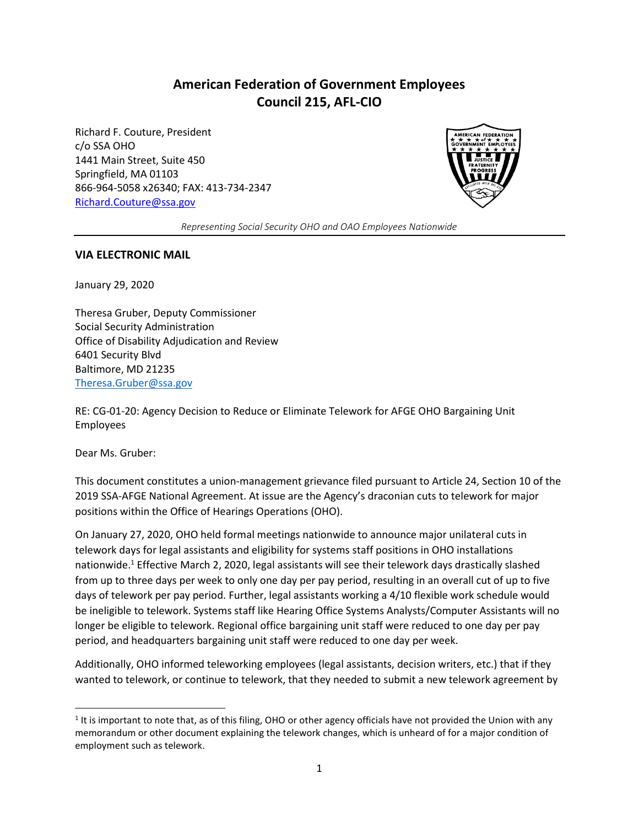## **American Federation of Government Employees Council 215, AFL-CIO**

Richard F. Couture, President c/o SSA OHO 1441 Main Street, Suite 450 Springfield, MA 01103 866-964-5058 x26340; FAX: 413-734-2347 [Richard.Couture@ssa.gov](mailto:Richard.Couture@ssa.gov)



*Representing Social Security OHO and OAO Employees Nationwide*

#### **VIA ELECTRONIC MAIL**

January 29, 2020

Theresa Gruber, Deputy Commissioner Social Security Administration Office of Disability Adjudication and Review 6401 Security Blvd Baltimore, MD 21235 [Theresa.Gruber@ssa.gov](mailto:Theresa.Gruber@ssa.gov)

RE: CG-01-20: Agency Decision to Reduce or Eliminate Telework for AFGE OHO Bargaining Unit Employees

Dear Ms. Gruber:

 $\overline{a}$ 

This document constitutes a union-management grievance filed pursuant to Article 24, Section 10 of the 2019 SSA-AFGE National Agreement. At issue are the Agency's draconian cuts to telework for major positions within the Office of Hearings Operations (OHO).

On January 27, 2020, OHO held formal meetings nationwide to announce major unilateral cuts in telework days for legal assistants and eligibility for systems staff positions in OHO installations nationwide.<sup>1</sup> Effective March 2, 2020, legal assistants will see their telework days drastically slashed from up to three days per week to only one day per pay period, resulting in an overall cut of up to five days of telework per pay period. Further, legal assistants working a 4/10 flexible work schedule would be ineligible to telework. Systems staff like Hearing Office Systems Analysts/Computer Assistants will no longer be eligible to telework. Regional office bargaining unit staff were reduced to one day per pay period, and headquarters bargaining unit staff were reduced to one day per week.

Additionally, OHO informed teleworking employees (legal assistants, decision writers, etc.) that if they wanted to telework, or continue to telework, that they needed to submit a new telework agreement by

<sup>&</sup>lt;sup>1</sup> It is important to note that, as of this filing, OHO or other agency officials have not provided the Union with any memorandum or other document explaining the telework changes, which is unheard of for a major condition of employment such as telework.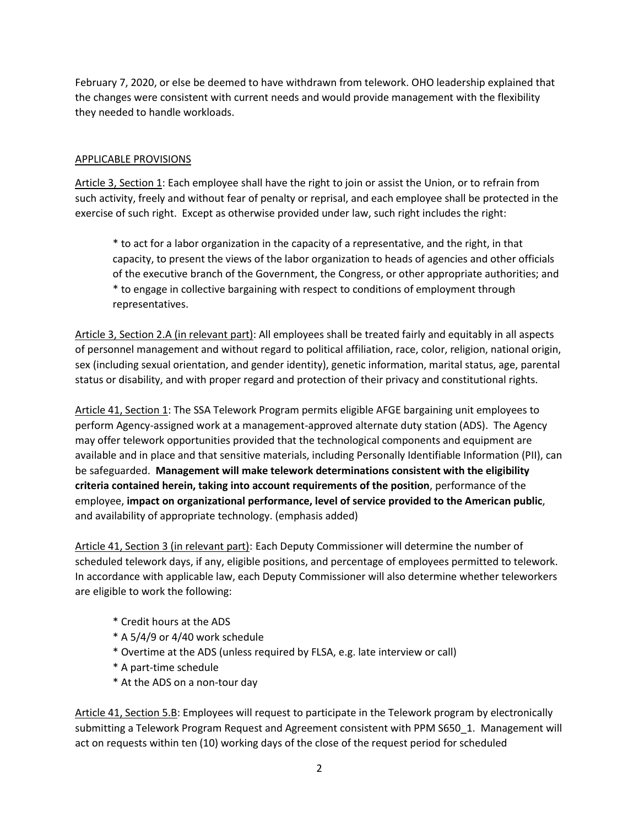February 7, 2020, or else be deemed to have withdrawn from telework. OHO leadership explained that the changes were consistent with current needs and would provide management with the flexibility they needed to handle workloads.

#### APPLICABLE PROVISIONS

Article 3, Section 1: Each employee shall have the right to join or assist the Union, or to refrain from such activity, freely and without fear of penalty or reprisal, and each employee shall be protected in the exercise of such right. Except as otherwise provided under law, such right includes the right:

\* to act for a labor organization in the capacity of a representative, and the right, in that capacity, to present the views of the labor organization to heads of agencies and other officials of the executive branch of the Government, the Congress, or other appropriate authorities; and \* to engage in collective bargaining with respect to conditions of employment through representatives.

Article 3, Section 2.A (in relevant part): All employees shall be treated fairly and equitably in all aspects of personnel management and without regard to political affiliation, race, color, religion, national origin, sex (including sexual orientation, and gender identity), genetic information, marital status, age, parental status or disability, and with proper regard and protection of their privacy and constitutional rights.

Article 41, Section 1: The SSA Telework Program permits eligible AFGE bargaining unit employees to perform Agency-assigned work at a management-approved alternate duty station (ADS). The Agency may offer telework opportunities provided that the technological components and equipment are available and in place and that sensitive materials, including Personally Identifiable Information (PII), can be safeguarded. **Management will make telework determinations consistent with the eligibility criteria contained herein, taking into account requirements of the position**, performance of the employee, **impact on organizational performance, level of service provided to the American public**, and availability of appropriate technology. (emphasis added)

Article 41, Section 3 (in relevant part): Each Deputy Commissioner will determine the number of scheduled telework days, if any, eligible positions, and percentage of employees permitted to telework. In accordance with applicable law, each Deputy Commissioner will also determine whether teleworkers are eligible to work the following:

- \* Credit hours at the ADS
- $*$  A 5/4/9 or 4/40 work schedule
- \* Overtime at the ADS (unless required by FLSA, e.g. late interview or call)
- \* A part-time schedule
- \* At the ADS on a non-tour day

Article 41, Section 5.B: Employees will request to participate in the Telework program by electronically submitting a Telework Program Request and Agreement consistent with PPM S650\_1. Management will act on requests within ten (10) working days of the close of the request period for scheduled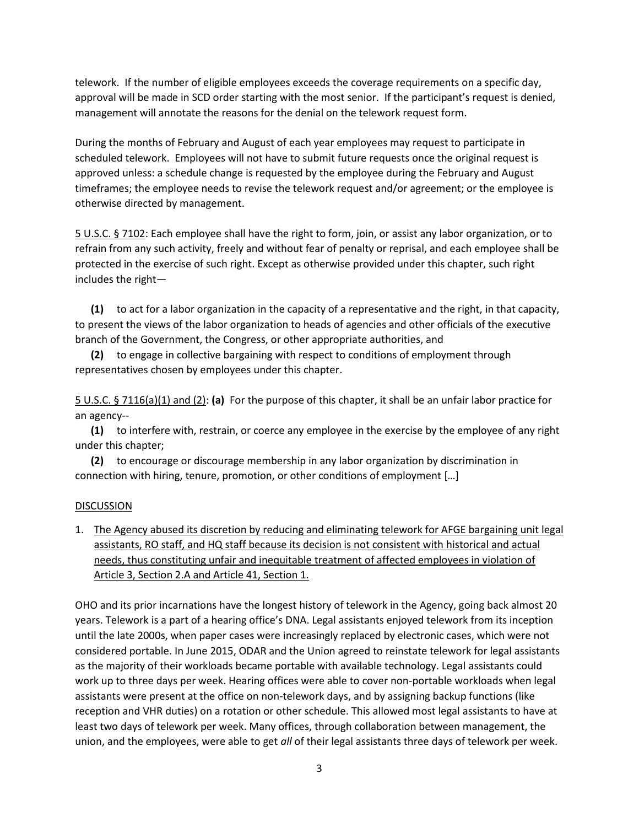telework. If the number of eligible employees exceeds the coverage requirements on a specific day, approval will be made in SCD order starting with the most senior. If the participant's request is denied, management will annotate the reasons for the denial on the telework request form.

During the months of February and August of each year employees may request to participate in scheduled telework. Employees will not have to submit future requests once the original request is approved unless: a schedule change is requested by the employee during the February and August timeframes; the employee needs to revise the telework request and/or agreement; or the employee is otherwise directed by management.

5 U.S.C. § 7102: Each employee shall have the right to form, join, or assist any labor organization, or to refrain from any such activity, freely and without fear of penalty or reprisal, and each employee shall be protected in the exercise of such right. Except as otherwise provided under this chapter, such right includes the right—

 **(1)** to act for a labor organization in the capacity of a representative and the right, in that capacity, to present the views of the labor organization to heads of agencies and other officials of the executive branch of the Government, the Congress, or other appropriate authorities, and

 **(2)** to engage in collective bargaining with respect to conditions of employment through representatives chosen by employees under this chapter.

5 U.S.C. § 7116(a)(1) and (2): **(a)** For the purpose of this chapter, it shall be an unfair labor practice for an agency--

 **(1)** to interfere with, restrain, or coerce any employee in the exercise by the employee of any right under this chapter;

 **(2)** to encourage or discourage membership in any labor organization by discrimination in connection with hiring, tenure, promotion, or other conditions of employment […]

#### DISCUSSION

1. The Agency abused its discretion by reducing and eliminating telework for AFGE bargaining unit legal assistants, RO staff, and HQ staff because its decision is not consistent with historical and actual needs, thus constituting unfair and inequitable treatment of affected employees in violation of Article 3, Section 2.A and Article 41, Section 1.

OHO and its prior incarnations have the longest history of telework in the Agency, going back almost 20 years. Telework is a part of a hearing office's DNA. Legal assistants enjoyed telework from its inception until the late 2000s, when paper cases were increasingly replaced by electronic cases, which were not considered portable. In June 2015, ODAR and the Union agreed to reinstate telework for legal assistants as the majority of their workloads became portable with available technology. Legal assistants could work up to three days per week. Hearing offices were able to cover non-portable workloads when legal assistants were present at the office on non-telework days, and by assigning backup functions (like reception and VHR duties) on a rotation or other schedule. This allowed most legal assistants to have at least two days of telework per week. Many offices, through collaboration between management, the union, and the employees, were able to get *all* of their legal assistants three days of telework per week.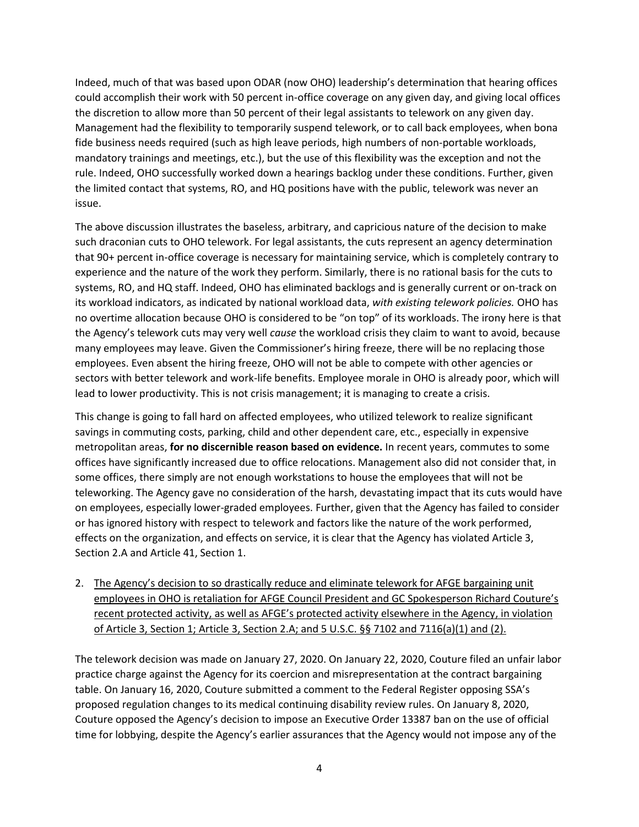Indeed, much of that was based upon ODAR (now OHO) leadership's determination that hearing offices could accomplish their work with 50 percent in-office coverage on any given day, and giving local offices the discretion to allow more than 50 percent of their legal assistants to telework on any given day. Management had the flexibility to temporarily suspend telework, or to call back employees, when bona fide business needs required (such as high leave periods, high numbers of non-portable workloads, mandatory trainings and meetings, etc.), but the use of this flexibility was the exception and not the rule. Indeed, OHO successfully worked down a hearings backlog under these conditions. Further, given the limited contact that systems, RO, and HQ positions have with the public, telework was never an issue.

The above discussion illustrates the baseless, arbitrary, and capricious nature of the decision to make such draconian cuts to OHO telework. For legal assistants, the cuts represent an agency determination that 90+ percent in-office coverage is necessary for maintaining service, which is completely contrary to experience and the nature of the work they perform. Similarly, there is no rational basis for the cuts to systems, RO, and HQ staff. Indeed, OHO has eliminated backlogs and is generally current or on-track on its workload indicators, as indicated by national workload data, *with existing telework policies.* OHO has no overtime allocation because OHO is considered to be "on top" of its workloads. The irony here is that the Agency's telework cuts may very well *cause* the workload crisis they claim to want to avoid, because many employees may leave. Given the Commissioner's hiring freeze, there will be no replacing those employees. Even absent the hiring freeze, OHO will not be able to compete with other agencies or sectors with better telework and work-life benefits. Employee morale in OHO is already poor, which will lead to lower productivity. This is not crisis management; it is managing to create a crisis.

This change is going to fall hard on affected employees, who utilized telework to realize significant savings in commuting costs, parking, child and other dependent care, etc., especially in expensive metropolitan areas, **for no discernible reason based on evidence.** In recent years, commutes to some offices have significantly increased due to office relocations. Management also did not consider that, in some offices, there simply are not enough workstations to house the employees that will not be teleworking. The Agency gave no consideration of the harsh, devastating impact that its cuts would have on employees, especially lower-graded employees. Further, given that the Agency has failed to consider or has ignored history with respect to telework and factors like the nature of the work performed, effects on the organization, and effects on service, it is clear that the Agency has violated Article 3, Section 2.A and Article 41, Section 1.

2. The Agency's decision to so drastically reduce and eliminate telework for AFGE bargaining unit employees in OHO is retaliation for AFGE Council President and GC Spokesperson Richard Couture's recent protected activity, as well as AFGE's protected activity elsewhere in the Agency, in violation of Article 3, Section 1; Article 3, Section 2.A; and 5 U.S.C.  $\S$ § 7102 and 7116(a)(1) and (2).

The telework decision was made on January 27, 2020. On January 22, 2020, Couture filed an unfair labor practice charge against the Agency for its coercion and misrepresentation at the contract bargaining table. On January 16, 2020, Couture submitted a comment to the Federal Register opposing SSA's proposed regulation changes to its medical continuing disability review rules. On January 8, 2020, Couture opposed the Agency's decision to impose an Executive Order 13387 ban on the use of official time for lobbying, despite the Agency's earlier assurances that the Agency would not impose any of the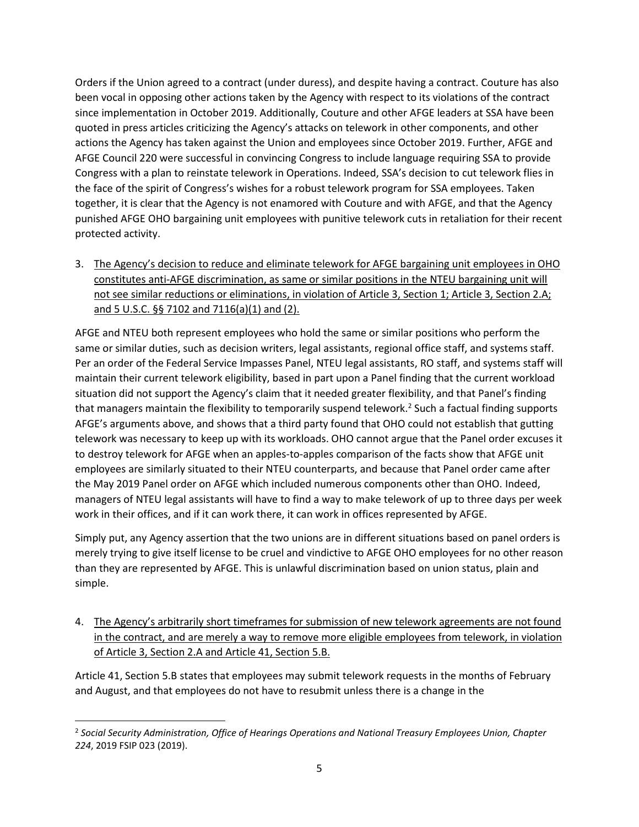Orders if the Union agreed to a contract (under duress), and despite having a contract. Couture has also been vocal in opposing other actions taken by the Agency with respect to its violations of the contract since implementation in October 2019. Additionally, Couture and other AFGE leaders at SSA have been quoted in press articles criticizing the Agency's attacks on telework in other components, and other actions the Agency has taken against the Union and employees since October 2019. Further, AFGE and AFGE Council 220 were successful in convincing Congress to include language requiring SSA to provide Congress with a plan to reinstate telework in Operations. Indeed, SSA's decision to cut telework flies in the face of the spirit of Congress's wishes for a robust telework program for SSA employees. Taken together, it is clear that the Agency is not enamored with Couture and with AFGE, and that the Agency punished AFGE OHO bargaining unit employees with punitive telework cuts in retaliation for their recent protected activity.

3. The Agency's decision to reduce and eliminate telework for AFGE bargaining unit employees in OHO constitutes anti-AFGE discrimination, as same or similar positions in the NTEU bargaining unit will not see similar reductions or eliminations, in violation of Article 3, Section 1; Article 3, Section 2.A; and 5 U.S.C. §§ 7102 and 7116(a)(1) and (2).

AFGE and NTEU both represent employees who hold the same or similar positions who perform the same or similar duties, such as decision writers, legal assistants, regional office staff, and systems staff. Per an order of the Federal Service Impasses Panel, NTEU legal assistants, RO staff, and systems staff will maintain their current telework eligibility, based in part upon a Panel finding that the current workload situation did not support the Agency's claim that it needed greater flexibility, and that Panel's finding that managers maintain the flexibility to temporarily suspend telework.<sup>2</sup> Such a factual finding supports AFGE's arguments above, and shows that a third party found that OHO could not establish that gutting telework was necessary to keep up with its workloads. OHO cannot argue that the Panel order excuses it to destroy telework for AFGE when an apples-to-apples comparison of the facts show that AFGE unit employees are similarly situated to their NTEU counterparts, and because that Panel order came after the May 2019 Panel order on AFGE which included numerous components other than OHO. Indeed, managers of NTEU legal assistants will have to find a way to make telework of up to three days per week work in their offices, and if it can work there, it can work in offices represented by AFGE.

Simply put, any Agency assertion that the two unions are in different situations based on panel orders is merely trying to give itself license to be cruel and vindictive to AFGE OHO employees for no other reason than they are represented by AFGE. This is unlawful discrimination based on union status, plain and simple.

4. The Agency's arbitrarily short timeframes for submission of new telework agreements are not found in the contract, and are merely a way to remove more eligible employees from telework, in violation of Article 3, Section 2.A and Article 41, Section 5.B.

Article 41, Section 5.B states that employees may submit telework requests in the months of February and August, and that employees do not have to resubmit unless there is a change in the

 $\overline{\phantom{a}}$ 2 *Social Security Administration, Office of Hearings Operations and National Treasury Employees Union, Chapter 224*, 2019 FSIP 023 (2019).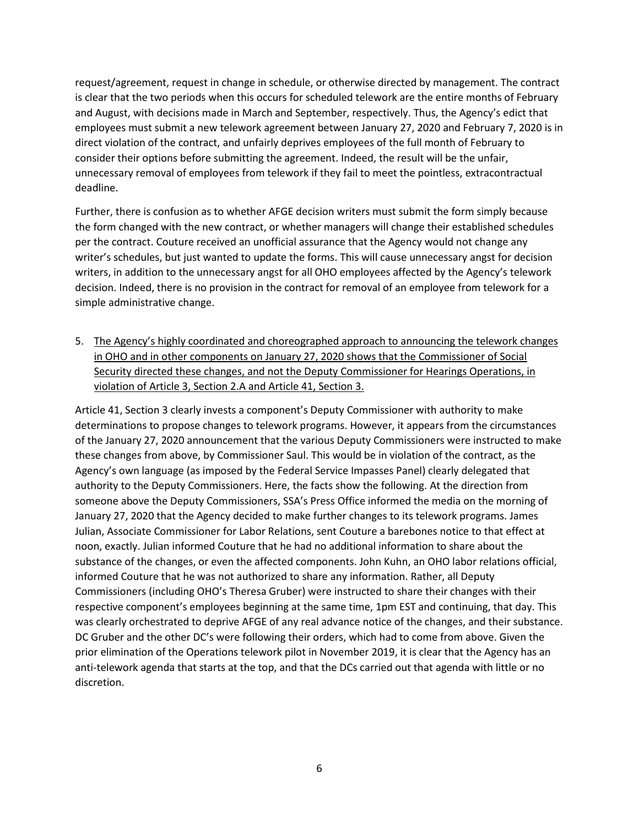request/agreement, request in change in schedule, or otherwise directed by management. The contract is clear that the two periods when this occurs for scheduled telework are the entire months of February and August, with decisions made in March and September, respectively. Thus, the Agency's edict that employees must submit a new telework agreement between January 27, 2020 and February 7, 2020 is in direct violation of the contract, and unfairly deprives employees of the full month of February to consider their options before submitting the agreement. Indeed, the result will be the unfair, unnecessary removal of employees from telework if they fail to meet the pointless, extracontractual deadline.

Further, there is confusion as to whether AFGE decision writers must submit the form simply because the form changed with the new contract, or whether managers will change their established schedules per the contract. Couture received an unofficial assurance that the Agency would not change any writer's schedules, but just wanted to update the forms. This will cause unnecessary angst for decision writers, in addition to the unnecessary angst for all OHO employees affected by the Agency's telework decision. Indeed, there is no provision in the contract for removal of an employee from telework for a simple administrative change.

5. The Agency's highly coordinated and choreographed approach to announcing the telework changes in OHO and in other components on January 27, 2020 shows that the Commissioner of Social Security directed these changes, and not the Deputy Commissioner for Hearings Operations, in violation of Article 3, Section 2.A and Article 41, Section 3.

Article 41, Section 3 clearly invests a component's Deputy Commissioner with authority to make determinations to propose changes to telework programs. However, it appears from the circumstances of the January 27, 2020 announcement that the various Deputy Commissioners were instructed to make these changes from above, by Commissioner Saul. This would be in violation of the contract, as the Agency's own language (as imposed by the Federal Service Impasses Panel) clearly delegated that authority to the Deputy Commissioners. Here, the facts show the following. At the direction from someone above the Deputy Commissioners, SSA's Press Office informed the media on the morning of January 27, 2020 that the Agency decided to make further changes to its telework programs. James Julian, Associate Commissioner for Labor Relations, sent Couture a barebones notice to that effect at noon, exactly. Julian informed Couture that he had no additional information to share about the substance of the changes, or even the affected components. John Kuhn, an OHO labor relations official, informed Couture that he was not authorized to share any information. Rather, all Deputy Commissioners (including OHO's Theresa Gruber) were instructed to share their changes with their respective component's employees beginning at the same time, 1pm EST and continuing, that day. This was clearly orchestrated to deprive AFGE of any real advance notice of the changes, and their substance. DC Gruber and the other DC's were following their orders, which had to come from above. Given the prior elimination of the Operations telework pilot in November 2019, it is clear that the Agency has an anti-telework agenda that starts at the top, and that the DCs carried out that agenda with little or no discretion.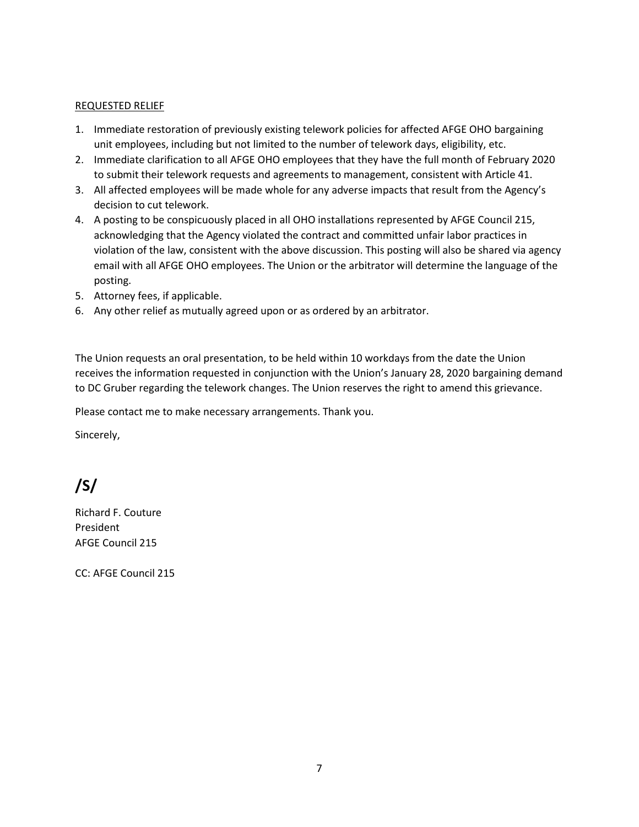#### REQUESTED RELIEF

- 1. Immediate restoration of previously existing telework policies for affected AFGE OHO bargaining unit employees, including but not limited to the number of telework days, eligibility, etc.
- 2. Immediate clarification to all AFGE OHO employees that they have the full month of February 2020 to submit their telework requests and agreements to management, consistent with Article 41.
- 3. All affected employees will be made whole for any adverse impacts that result from the Agency's decision to cut telework.
- 4. A posting to be conspicuously placed in all OHO installations represented by AFGE Council 215, acknowledging that the Agency violated the contract and committed unfair labor practices in violation of the law, consistent with the above discussion. This posting will also be shared via agency email with all AFGE OHO employees. The Union or the arbitrator will determine the language of the posting.
- 5. Attorney fees, if applicable.
- 6. Any other relief as mutually agreed upon or as ordered by an arbitrator.

The Union requests an oral presentation, to be held within 10 workdays from the date the Union receives the information requested in conjunction with the Union's January 28, 2020 bargaining demand to DC Gruber regarding the telework changes. The Union reserves the right to amend this grievance.

Please contact me to make necessary arrangements. Thank you.

Sincerely,

# **/S/**

Richard F. Couture President AFGE Council 215

CC: AFGE Council 215